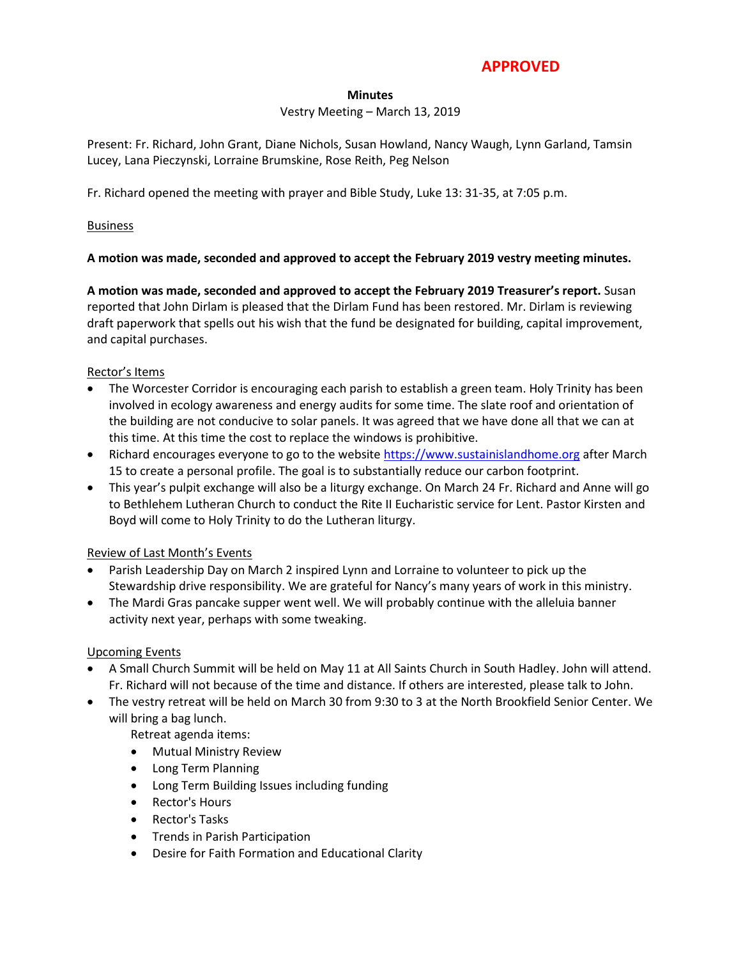# **APPROVED**

#### **Minutes**

# Vestry Meeting – March 13, 2019

Present: Fr. Richard, John Grant, Diane Nichols, Susan Howland, Nancy Waugh, Lynn Garland, Tamsin Lucey, Lana Pieczynski, Lorraine Brumskine, Rose Reith, Peg Nelson

Fr. Richard opened the meeting with prayer and Bible Study, Luke 13: 31-35, at 7:05 p.m.

#### **Business**

# **A motion was made, seconded and approved to accept the February 2019 vestry meeting minutes.**

**A motion was made, seconded and approved to accept the February 2019 Treasurer's report.** Susan reported that John Dirlam is pleased that the Dirlam Fund has been restored. Mr. Dirlam is reviewing draft paperwork that spells out his wish that the fund be designated for building, capital improvement, and capital purchases.

#### Rector's Items

- The Worcester Corridor is encouraging each parish to establish a green team. Holy Trinity has been involved in ecology awareness and energy audits for some time. The slate roof and orientation of the building are not conducive to solar panels. It was agreed that we have done all that we can at this time. At this time the cost to replace the windows is prohibitive.
- Richard encourages everyone to go to the website [https://www.sustainislandhome.org](https://www.sustainislandhome.org/) after March 15 to create a personal profile. The goal is to substantially reduce our carbon footprint.
- This year's pulpit exchange will also be a liturgy exchange. On March 24 Fr. Richard and Anne will go to Bethlehem Lutheran Church to conduct the Rite II Eucharistic service for Lent. Pastor Kirsten and Boyd will come to Holy Trinity to do the Lutheran liturgy.

# Review of Last Month's Events

- Parish Leadership Day on March 2 inspired Lynn and Lorraine to volunteer to pick up the Stewardship drive responsibility. We are grateful for Nancy's many years of work in this ministry.
- The Mardi Gras pancake supper went well. We will probably continue with the alleluia banner activity next year, perhaps with some tweaking.

# Upcoming Events

- A Small Church Summit will be held on May 11 at All Saints Church in South Hadley. John will attend. Fr. Richard will not because of the time and distance. If others are interested, please talk to John.
- The vestry retreat will be held on March 30 from 9:30 to 3 at the North Brookfield Senior Center. We will bring a bag lunch.

Retreat agenda items:

- Mutual Ministry Review
- Long Term Planning
- Long Term Building Issues including funding
- Rector's Hours
- Rector's Tasks
- **•** Trends in Parish Participation
- Desire for Faith Formation and Educational Clarity